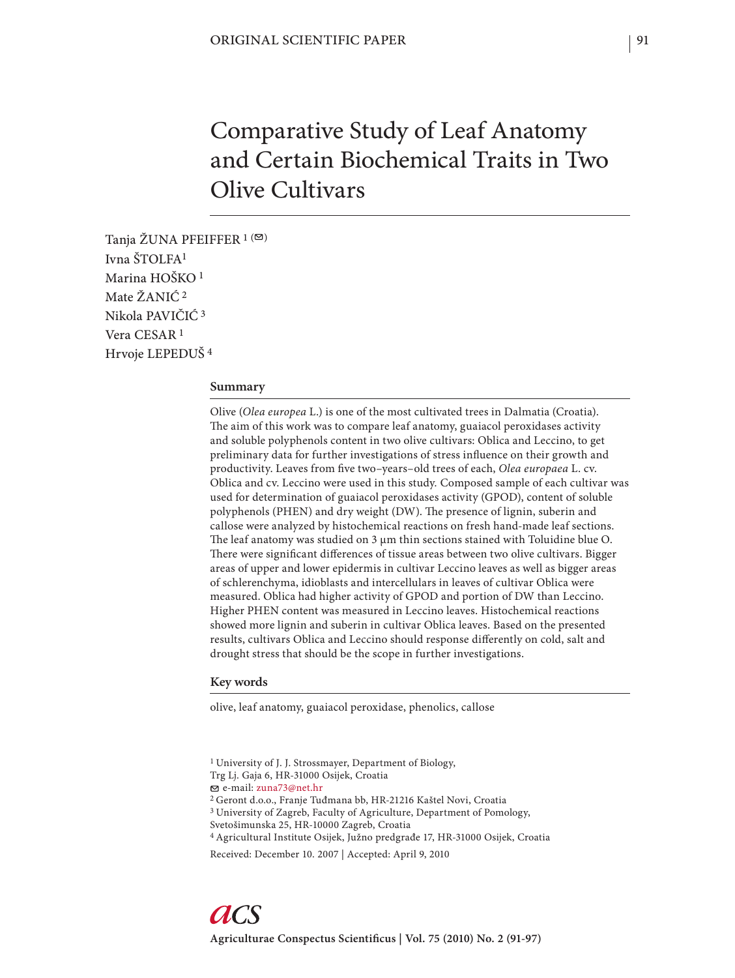# Comparative Study of Leaf Anatomy and Certain Biochemical Traits in Two Olive Cultivars

Tanja ŽUNA PFEIFFER  $1$  ( $\boxtimes$ ) Ivna ŠTOLFA1 Marina HOŠKO 1 Mate ŽANIĆ 2 Nikola PAVIČIĆ 3 Vera CESAR 1 Hrvoje LEPEDUŠ 4

## **Summary**

Olive (*Olea europea* L.) is one of the most cultivated trees in Dalmatia (Croatia). The aim of this work was to compare leaf anatomy, guaiacol peroxidases activity and soluble polyphenols content in two olive cultivars: Oblica and Leccino, to get preliminary data for further investigations of stress influence on their growth and productivity. Leaves from five two-years-old trees of each, Olea europaea L. cv. Oblica and cv. Leccino were used in this study*.* Composed sample of each cultivar was used for determination of guaiacol peroxidases activity (GPOD), content of soluble polyphenols (PHEN) and dry weight (DW). The presence of lignin, suberin and callose were analyzed by histochemical reactions on fresh hand-made leaf sections. The leaf anatomy was studied on  $3 \mu m$  thin sections stained with Toluidine blue O. There were significant differences of tissue areas between two olive cultivars. Bigger areas of upper and lower epidermis in cultivar Leccino leaves as well as bigger areas of schlerenchyma, idioblasts and intercellulars in leaves of cultivar Oblica were measured. Oblica had higher activity of GPOD and portion of DW than Leccino. Higher PHEN content was measured in Leccino leaves. Histochemical reactions showed more lignin and suberin in cultivar Oblica leaves. Based on the presented results, cultivars Oblica and Leccino should response differently on cold, salt and drought stress that should be the scope in further investigations.

## **Key words**

olive, leaf anatomy, guaiacol peroxidase, phenolics, callose

e-mail: zuna73@net.hr

<sup>1</sup> University of J. J. Strossmayer, Department of Biology,

Trg Lj. Gaja 6, HR-31000 Osijek, Croatia

<sup>2</sup> Geront d.o.o., Franje Tuđmana bb, HR-21216 Kaštel Novi, Croatia 3 University of Zagreb, Faculty of Agriculture, Department of Pomology,

Svetošimunska 25, HR-10000 Zagreb, Croatia

<sup>4</sup> Agricultural Institute Osijek, Južno predgrađe 17, HR-31000 Osijek, Croatia

Received: December 10. 2007 | Accepted: April 9, 2010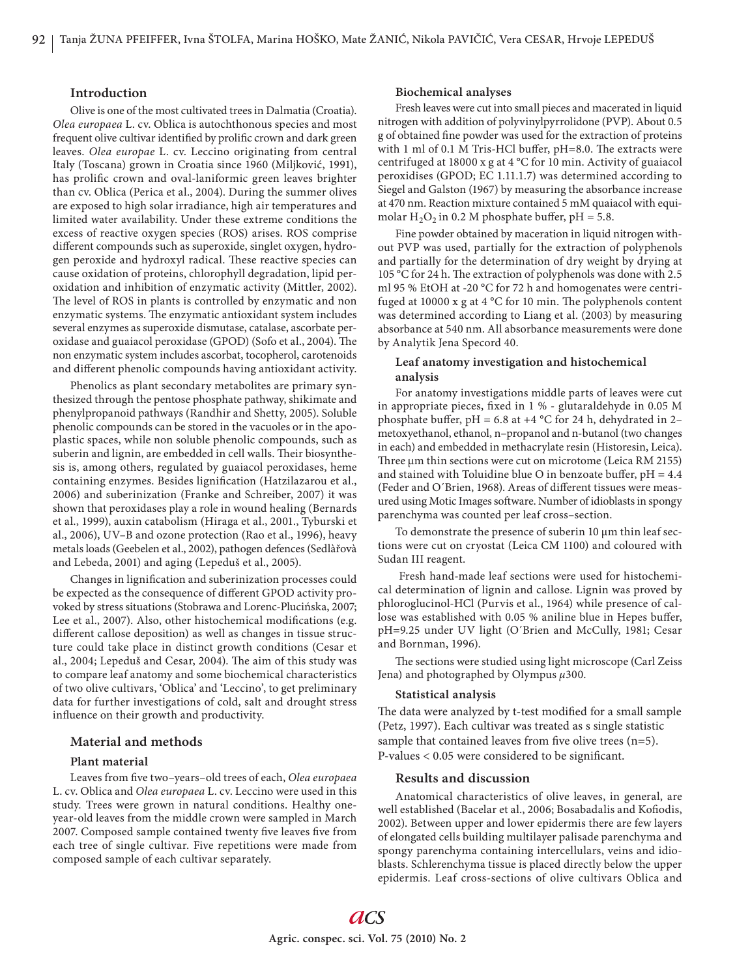## **Introduction**

Olive is one of the most cultivated trees in Dalmatia (Croatia). *Olea europaea* L. cv. Oblica is autochthonous species and most frequent olive cultivar identified by prolific crown and dark green leaves. *Olea europae* L. cv. Leccino originating from central Italy (Toscana) grown in Croatia since 1960 (Miljković, 1991), has prolific crown and oval-laniformic green leaves brighter than cv. Oblica (Perica et al., 2004). During the summer olives are exposed to high solar irradiance, high air temperatures and limited water availability. Under these extreme conditions the excess of reactive oxygen species (ROS) arises. ROS comprise different compounds such as superoxide, singlet oxygen, hydrogen peroxide and hydroxyl radical. These reactive species can cause oxidation of proteins, chlorophyll degradation, lipid peroxidation and inhibition of enzymatic activity (Mittler, 2002). The level of ROS in plants is controlled by enzymatic and non enzymatic systems. The enzymatic antioxidant system includes several enzymes as superoxide dismutase, catalase, ascorbate peroxidase and guaiacol peroxidase (GPOD) (Sofo et al., 2004). The non enzymatic system includes ascorbat, tocopherol, carotenoids and different phenolic compounds having antioxidant activity.

Phenolics as plant secondary metabolites are primary synthesized through the pentose phosphate pathway, shikimate and phenylpropanoid pathways (Randhir and Shetty, 2005). Soluble phenolic compounds can be stored in the vacuoles or in the apoplastic spaces, while non soluble phenolic compounds, such as suberin and lignin, are embedded in cell walls. Their biosynthesis is, among others, regulated by guaiacol peroxidases, heme containing enzymes. Besides lignification (Hatzilazarou et al., 2006) and suberinization (Franke and Schreiber, 2007) it was shown that peroxidases play a role in wound healing (Bernards et al., 1999), auxin catabolism (Hiraga et al., 2001., Tyburski et al., 2006), UV–B and ozone protection (Rao et al., 1996), heavy metals loads (Geebelen et al., 2002), pathogen defences (Sedlàřovà and Lebeda, 2001) and aging (Lepeduš et al., 2005).

Changes in lignification and suberinization processes could be expected as the consequence of different GPOD activity provoked by stress situations (Stobrawa and Lorenc-Plucińska, 2007; Lee et al., 2007). Also, other histochemical modifications (e.g. different callose deposition) as well as changes in tissue structure could take place in distinct growth conditions (Cesar et al., 2004; Lepeduš and Cesar, 2004). The aim of this study was to compare leaf anatomy and some biochemical characteristics of two olive cultivars, 'Oblica' and 'Leccino', to get preliminary data for further investigations of cold, salt and drought stress influence on their growth and productivity.

## **Material and methods**

#### **Plant material**

Leaves from five two-years-old trees of each, Olea europaea L. cv. Oblica and *Olea europaea* L. cv. Leccino were used in this study*.* Trees were grown in natural conditions. Healthy oneyear-old leaves from the middle crown were sampled in March 2007. Composed sample contained twenty five leaves five from each tree of single cultivar. Five repetitions were made from composed sample of each cultivar separately.

#### **Biochemical analyses**

Fresh leaves were cut into small pieces and macerated in liquid nitrogen with addition of polyvinylpyrrolidone (PVP). About 0.5 g of obtained fine powder was used for the extraction of proteins with 1 ml of 0.1 M Tris-HCl buffer,  $pH=8.0$ . The extracts were centrifuged at 18000 x g at 4 °C for 10 min. Activity of guaiacol peroxidises (GPOD; EC 1.11.1.7) was determined according to Siegel and Galston (1967) by measuring the absorbance increase at 470 nm. Reaction mixture contained 5 mM quaiacol with equimolar  $H_2O_2$  in 0.2 M phosphate buffer, pH = 5.8.

Fine powder obtained by maceration in liquid nitrogen without PVP was used, partially for the extraction of polyphenols and partially for the determination of dry weight by drying at 105 °C for 24 h. The extraction of polyphenols was done with 2.5 ml 95 % EtOH at -20 °C for 72 h and homogenates were centrifuged at 10000 x g at 4  $^{\circ}$ C for 10 min. The polyphenols content was determined according to Liang et al. (2003) by measuring absorbance at 540 nm. All absorbance measurements were done by Analytik Jena Specord 40.

## **Leaf anatomy investigation and histochemical analysis**

For anatomy investigations middle parts of leaves were cut in appropriate pieces, fixed in  $1%$  - glutaraldehyde in 0.05 M phosphate buffer, pH = 6.8 at +4  $^{\circ}$ C for 24 h, dehydrated in 2metoxyethanol, ethanol, n–propanol and n-butanol (two changes in each) and embedded in methacrylate resin (Historesin, Leica). Three μm thin sections were cut on microtome (Leica RM 2155) and stained with Toluidine blue O in benzoate buffer,  $pH = 4.4$ (Feder and O'Brien, 1968). Areas of different tissues were measured using Motic Images software. Number of idioblasts in spongy parenchyma was counted per leaf cross–section.

To demonstrate the presence of suberin 10 μm thin leaf sections were cut on cryostat (Leica CM 1100) and coloured with Sudan III reagent.

 Fresh hand-made leaf sections were used for histochemical determination of lignin and callose. Lignin was proved by phloroglucinol-HCl (Purvis et al., 1964) while presence of callose was established with 0.05 % aniline blue in Hepes buffer, pH=9.25 under UV light (O´Brien and McCully, 1981; Cesar and Bornman, 1996).

The sections were studied using light microscope (Carl Zeiss) Jena) and photographed by Olympus *μ*300.

#### **Statistical analysis**

The data were analyzed by t-test modified for a small sample (Petz, 1997). Each cultivar was treated as s single statistic sample that contained leaves from five olive trees  $(n=5)$ .  $P-values < 0.05$  were considered to be significant.

#### **Results and discussion**

Anatomical characteristics of olive leaves, in general, are well established (Bacelar et al., 2006; Bosabadalis and Kofiodis, 2002). Between upper and lower epidermis there are few layers of elongated cells building multilayer palisade parenchyma and spongy parenchyma containing intercellulars, veins and idioblasts. Schlerenchyma tissue is placed directly below the upper epidermis. Leaf cross-sections of olive cultivars Oblica and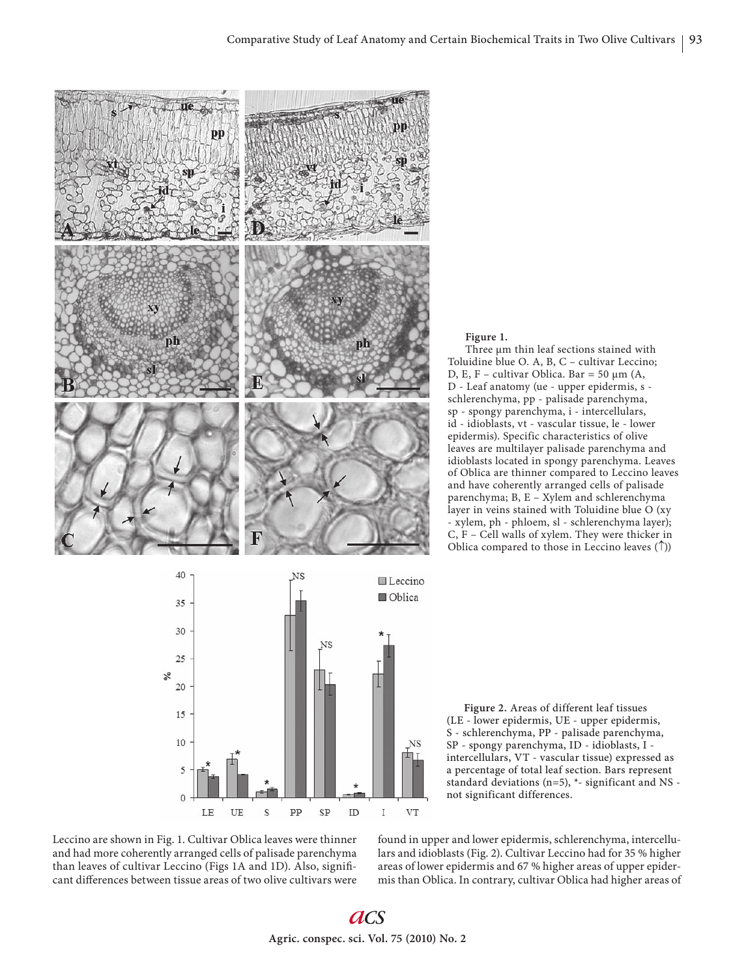



Three μm thin leaf sections stained with Toluidine blue O. A, B, C – cultivar Leccino; D, E, F – cultivar Oblica. Bar = 50 μm (A, D - Leaf anatomy (ue - upper epidermis, s schlerenchyma, pp - palisade parenchyma, sp - spongy parenchyma, i - intercellulars, id - idioblasts, vt - vascular tissue, le - lower epidermis). Specific characteristics of olive leaves are multilayer palisade parenchyma and idioblasts located in spongy parenchyma. Leaves of Oblica are thinner compared to Leccino leaves and have coherently arranged cells of palisade parenchyma; B, E – Xylem and schlerenchyma layer in veins stained with Toluidine blue O (xy - xylem, ph - phloem, sl - schlerenchyma layer); C, F – Cell walls of xylem. They were thicker in Oblica compared to those in Leccino leaves  $(\uparrow)$ )



Leccino are shown in Fig. 1. Cultivar Oblica leaves were thinner and had more coherently arranged cells of palisade parenchyma than leaves of cultivar Leccino (Figs 1A and 1D). Also, significant differences between tissue areas of two olive cultivars were

found in upper and lower epidermis, schlerenchyma, intercellulars and idioblasts (Fig. 2). Cultivar Leccino had for 35 % higher areas of lower epidermis and 67 % higher areas of upper epidermis than Oblica. In contrary, cultivar Oblica had higher areas of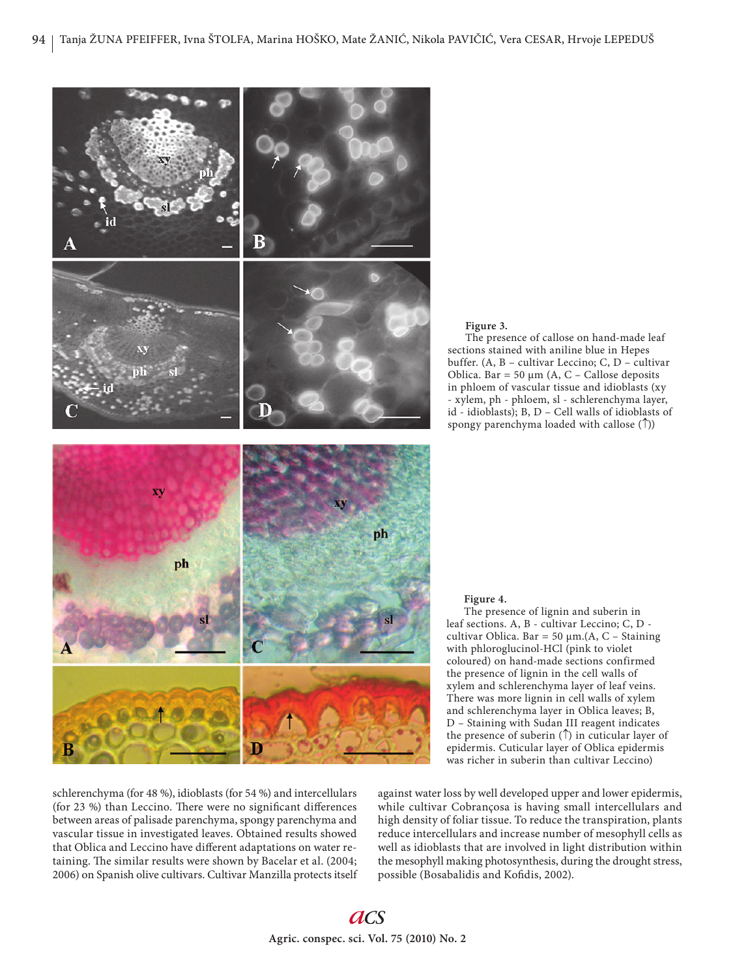

schlerenchyma (for 48 %), idioblasts (for 54 %) and intercellulars (for 23 %) than Leccino. There were no significant differences between areas of palisade parenchyma, spongy parenchyma and vascular tissue in investigated leaves. Obtained results showed that Oblica and Leccino have different adaptations on water retaining. The similar results were shown by Bacelar et al. (2004; 2006) on Spanish olive cultivars. Cultivar Manzilla protects itself

The presence of callose on hand-made leaf sections stained with aniline blue in Hepes buffer. (A, B – cultivar Leccino; C, D – cultivar Oblica. Bar = 50  $\mu$ m (A, C – Callose deposits in phloem of vascular tissue and idioblasts (xy - xylem, ph - phloem, sl - schlerenchyma layer, id - idioblasts); B, D – Cell walls of idioblasts of spongy parenchyma loaded with callose  $(\uparrow)$ )

#### **Figure 4.**

The presence of lignin and suberin in leaf sections. A, B - cultivar Leccino; C, D cultivar Oblica. Bar = 50  $\mu$ m.(A, C – Staining with phloroglucinol-HCl (pink to violet coloured) on hand-made sections confirmed the presence of lignin in the cell walls of xylem and schlerenchyma layer of leaf veins. There was more lignin in cell walls of xylem and schlerenchyma layer in Oblica leaves; B, D – Staining with Sudan III reagent indicates the presence of suberin  $(\uparrow)$  in cuticular layer of epidermis. Cuticular layer of Oblica epidermis was richer in suberin than cultivar Leccino)

against water loss by well developed upper and lower epidermis, while cultivar Cobrançosa is having small intercellulars and high density of foliar tissue. To reduce the transpiration, plants reduce intercellulars and increase number of mesophyll cells as well as idioblasts that are involved in light distribution within the mesophyll making photosynthesis, during the drought stress, possible (Bosabalidis and Kofidis, 2002).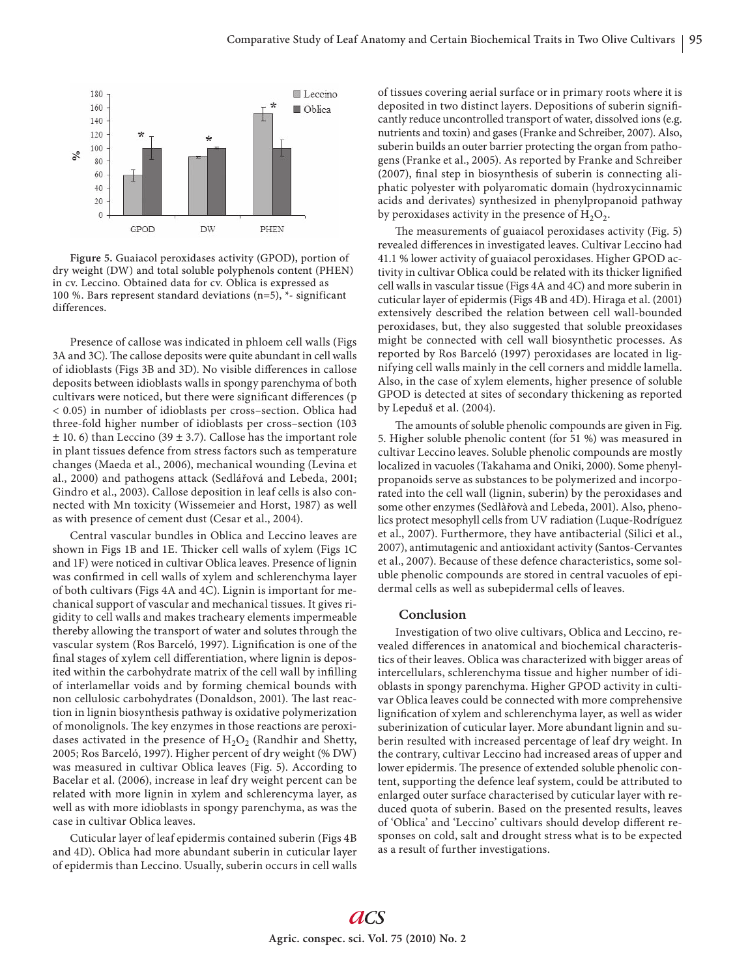

**Figure 5.** Guaiacol peroxidases activity (GPOD), portion of dry weight (DW) and total soluble polyphenols content (PHEN) in cv. Leccino. Obtained data for cv. Oblica is expressed as 100 %. Bars represent standard deviations (n=5), \*- significant differences.

Presence of callose was indicated in phloem cell walls (Figs 3A and 3C). The callose deposits were quite abundant in cell walls of idioblasts (Figs 3B and 3D). No visible differences in callose deposits between idioblasts walls in spongy parenchyma of both cultivars were noticed, but there were significant differences (p < 0.05) in number of idioblasts per cross–section. Oblica had three-fold higher number of idioblasts per cross–section (103  $\pm$  10. 6) than Leccino (39  $\pm$  3.7). Callose has the important role in plant tissues defence from stress factors such as temperature changes (Maeda et al., 2006), mechanical wounding (Levina et al., 2000) and pathogens attack (Sedlářová and Lebeda, 2001; Gindro et al., 2003). Callose deposition in leaf cells is also connected with Mn toxicity (Wissemeier and Horst, 1987) as well as with presence of cement dust (Cesar et al., 2004).

Central vascular bundles in Oblica and Leccino leaves are shown in Figs 1B and 1E. Thicker cell walls of xylem (Figs 1C and 1F) were noticed in cultivar Oblica leaves. Presence of lignin was confirmed in cell walls of xylem and schlerenchyma layer of both cultivars (Figs 4A and 4C). Lignin is important for mechanical support of vascular and mechanical tissues. It gives rigidity to cell walls and makes tracheary elements impermeable thereby allowing the transport of water and solutes through the vascular system (Ros Barceló, 1997). Lignification is one of the final stages of xylem cell differentiation, where lignin is deposited within the carbohydrate matrix of the cell wall by infilling of interlamellar voids and by forming chemical bounds with non cellulosic carbohydrates (Donaldson, 2001). The last reaction in lignin biosynthesis pathway is oxidative polymerization of monolignols. The key enzymes in those reactions are peroxidases activated in the presence of  $H_2O_2$  (Randhir and Shetty, 2005; Ros Barceló, 1997). Higher percent of dry weight (% DW) was measured in cultivar Oblica leaves (Fig. 5). According to Bacelar et al. (2006), increase in leaf dry weight percent can be related with more lignin in xylem and schlerencyma layer, as well as with more idioblasts in spongy parenchyma, as was the case in cultivar Oblica leaves.

Cuticular layer of leaf epidermis contained suberin (Figs 4B and 4D). Oblica had more abundant suberin in cuticular layer of epidermis than Leccino. Usually, suberin occurs in cell walls of tissues covering aerial surface or in primary roots where it is deposited in two distinct layers. Depositions of suberin significantly reduce uncontrolled transport of water, dissolved ions (e.g. nutrients and toxin) and gases (Franke and Schreiber, 2007). Also, suberin builds an outer barrier protecting the organ from pathogens (Franke et al., 2005). As reported by Franke and Schreiber (2007), final step in biosynthesis of suberin is connecting aliphatic polyester with polyaromatic domain (hydroxycinnamic acids and derivates) synthesized in phenylpropanoid pathway by peroxidases activity in the presence of  $H_2O_2$ .

The measurements of guaiacol peroxidases activity (Fig. 5) revealed differences in investigated leaves. Cultivar Leccino had 41.1 % lower activity of guaiacol peroxidases. Higher GPOD activity in cultivar Oblica could be related with its thicker lignified cell walls in vascular tissue (Figs 4A and 4C) and more suberin in cuticular layer of epidermis (Figs 4B and 4D). Hiraga et al. (2001) extensively described the relation between cell wall-bounded peroxidases, but, they also suggested that soluble preoxidases might be connected with cell wall biosynthetic processes. As reported by Ros Barceló (1997) peroxidases are located in lignifying cell walls mainly in the cell corners and middle lamella. Also, in the case of xylem elements, higher presence of soluble GPOD is detected at sites of secondary thickening as reported by Lepeduš et al. (2004).

The amounts of soluble phenolic compounds are given in Fig. 5. Higher soluble phenolic content (for 51 %) was measured in cultivar Leccino leaves. Soluble phenolic compounds are mostly localized in vacuoles (Takahama and Oniki, 2000). Some phenylpropanoids serve as substances to be polymerized and incorporated into the cell wall (lignin, suberin) by the peroxidases and some other enzymes (Sedlàřovà and Lebeda, 2001). Also, phenolics protect mesophyll cells from UV radiation (Luque-Rodríguez et al., 2007). Furthermore, they have antibacterial (Silici et al., 2007), antimutagenic and antioxidant activity (Santos-Cervantes et al., 2007). Because of these defence characteristics, some soluble phenolic compounds are stored in central vacuoles of epidermal cells as well as subepidermal cells of leaves.

#### **Conclusion**

Investigation of two olive cultivars, Oblica and Leccino, revealed differences in anatomical and biochemical characteristics of their leaves. Oblica was characterized with bigger areas of intercellulars, schlerenchyma tissue and higher number of idioblasts in spongy parenchyma. Higher GPOD activity in cultivar Oblica leaves could be connected with more comprehensive lignification of xylem and schlerenchyma layer, as well as wider suberinization of cuticular layer. More abundant lignin and suberin resulted with increased percentage of leaf dry weight. In the contrary, cultivar Leccino had increased areas of upper and lower epidermis. The presence of extended soluble phenolic content, supporting the defence leaf system, could be attributed to enlarged outer surface characterised by cuticular layer with reduced quota of suberin. Based on the presented results, leaves of 'Oblica' and 'Leccino' cultivars should develop different responses on cold, salt and drought stress what is to be expected as a result of further investigations.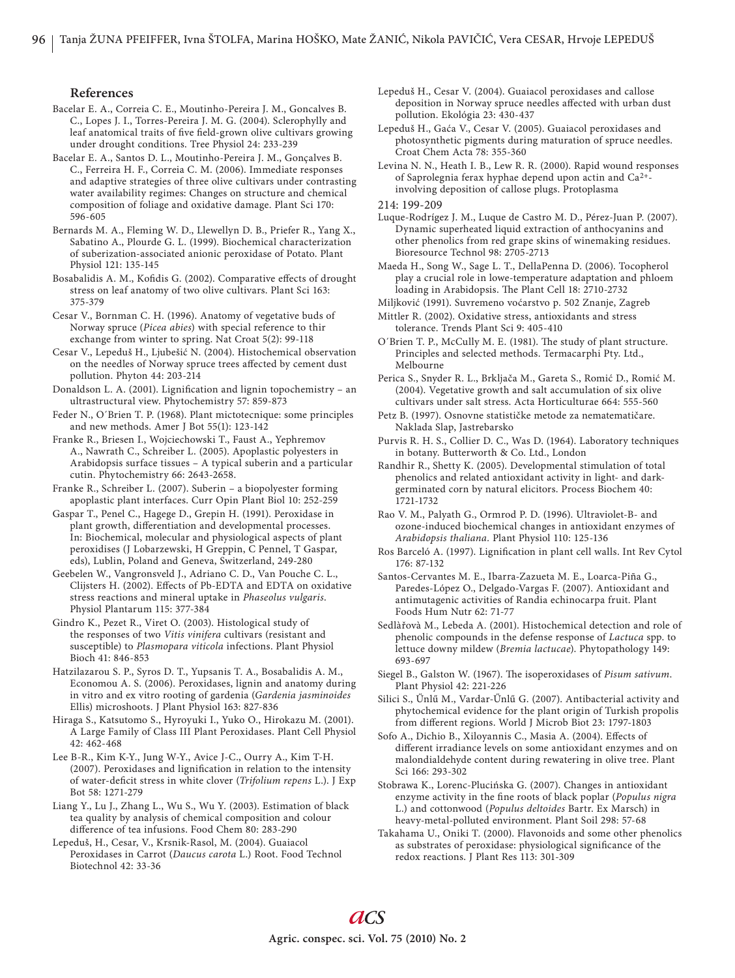## **References**

Bacelar E. A., Correia C. E., Moutinho-Pereira J. M., Goncalves B. C., Lopes J. I., Torres-Pereira J. M. G. (2004). Sclerophylly and leaf anatomical traits of five field-grown olive cultivars growing under drought conditions. Tree Physiol 24: 233-239

Bacelar E. A., Santos D. L., Moutinho-Pereira J. M., Gonçalves B. C., Ferreira H. F., Correia C. M. (2006). Immediate responses and adaptive strategies of three olive cultivars under contrasting water availability regimes: Changes on structure and chemical composition of foliage and oxidative damage. Plant Sci 170: 596-605

Bernards M. A., Fleming W. D., Llewellyn D. B., Priefer R., Yang X., Sabatino A., Plourde G. L. (1999). Biochemical characterization of suberization-associated anionic peroxidase of Potato. Plant Physiol 121: 135-145

Bosabalidis A. M., Kofidis G. (2002). Comparative effects of drought stress on leaf anatomy of two olive cultivars. Plant Sci 163: 375-379

Cesar V., Bornman C. H. (1996). Anatomy of vegetative buds of Norway spruce (*Picea abies*) with special reference to thir exchange from winter to spring. Nat Croat 5(2): 99-118

Cesar V., Lepeduš H., Ljubešić N. (2004). Histochemical observation on the needles of Norway spruce trees affected by cement dust pollution. Phyton 44: 203-214

Donaldson L. A. (2001). Lignification and lignin topochemistry - an ultrastructural view. Phytochemistry 57: 859-873

Feder N., O´Brien T. P. (1968). Plant mictotecnique: some principles and new methods. Amer J Bot 55(1): 123-142

Franke R., Briesen I., Wojciechowski T., Faust A., Yephremov A., Nawrath C., Schreiber L. (2005). Apoplastic polyesters in Arabidopsis surface tissues – A typical suberin and a particular cutin. Phytochemistry 66: 2643-2658.

Franke R., Schreiber L. (2007). Suberin – a biopolyester forming apoplastic plant interfaces. Curr Opin Plant Biol 10: 252-259

Gaspar T., Penel C., Hagege D., Grepin H. (1991). Peroxidase in plant growth, differentiation and developmental processes. In: Biochemical, molecular and physiological aspects of plant peroxidises (J Lobarzewski, H Greppin, C Pennel, T Gaspar, eds), Lublin, Poland and Geneva, Switzerland, 249-280

Geebelen W., Vangronsveld J., Adriano C. D., Van Pouche C. L., Clijsters H. (2002). Effects of Pb-EDTA and EDTA on oxidative stress reactions and mineral uptake in *Phaseolus vulgaris*. Physiol Plantarum 115: 377-384

Gindro K., Pezet R., Viret O. (2003). Histological study of the responses of two *Vitis vinifera* cultivars (resistant and susceptible) to *Plasmopara viticola* infections. Plant Physiol Bioch 41: 846-853

Hatzilazarou S. P., Syros D. T., Yupsanis T. A., Bosabalidis A. M., Economou A. S. (2006). Peroxidases, lignin and anatomy during in vitro and ex vitro rooting of gardenia (*Gardenia jasminoides* Ellis) microshoots. J Plant Physiol 163: 827-836

Hiraga S., Katsutomo S., Hyroyuki I., Yuko O., Hirokazu M. (2001). A Large Family of Class III Plant Peroxidases. Plant Cell Physiol 42: 462-468

Lee B-R., Kim K-Y., Jung W-Y., Avice J-C., Ourry A., Kim T-H. (2007). Peroxidases and lignification in relation to the intensity of water-deficit stress in white clover (*Trifolium repens L.*). J Exp Bot 58: 1271-279

Liang Y., Lu J., Zhang L., Wu S., Wu Y. (2003). Estimation of black tea quality by analysis of chemical composition and colour difference of tea infusions. Food Chem 80: 283-290

Lepeduš, H., Cesar, V., Krsnik-Rasol, M. (2004). Guaiacol Peroxidases in Carrot (*Daucus carota* L.) Root. Food Technol Biotechnol 42: 33-36

Lepeduš H., Cesar V. (2004). Guaiacol peroxidases and callose deposition in Norway spruce needles affected with urban dust pollution. Ekológia 23: 430-437

Lepeduš H., Gaća V., Cesar V. (2005). Guaiacol peroxidases and photosynthetic pigments during maturation of spruce needles. Croat Chem Acta 78: 355-360

Levina N. N., Heath I. B., Lew R. R. (2000). Rapid wound responses of Saprolegnia ferax hyphae depend upon actin and Ca2+ involving deposition of callose plugs. Protoplasma

214: 199-209

Luque-Rodrígez J. M., Luque de Castro M. D., Pérez-Juan P. (2007). Dynamic superheated liquid extraction of anthocyanins and other phenolics from red grape skins of winemaking residues. Bioresource Technol 98: 2705-2713

Maeda H., Song W., Sage L. T., DellaPenna D. (2006). Tocopherol play a crucial role in lowe-temperature adaptation and phloem loading in Arabidopsis. The Plant Cell 18: 2710-2732

Miljković (1991). Suvremeno voćarstvo p. 502 Znanje, Zagreb Mittler R. (2002). Oxidative stress, antioxidants and stress

tolerance. Trends Plant Sci 9: 405-410

O'Brien T. P., McCully M. E. (1981). The study of plant structure. Principles and selected methods. Termacarphi Pty. Ltd., Melbourne

Perica S., Snyder R. L., Brkljača M., Gareta S., Romić D., Romić M. (2004). Vegetative growth and salt accumulation of six olive cultivars under salt stress. Acta Horticulturae 664: 555-560

- Petz B. (1997). Osnovne statističke metode za nematematičare. Naklada Slap, Jastrebarsko
- Purvis R. H. S., Collier D. C., Was D. (1964). Laboratory techniques in botany. Butterworth & Co. Ltd., London

Randhir R., Shetty K. (2005). Developmental stimulation of total phenolics and related antioxidant activity in light- and darkgerminated corn by natural elicitors. Process Biochem 40: 1721-1732

Rao V. M., Palyath G., Ormrod P. D. (1996). Ultraviolet-B- and ozone-induced biochemical changes in antioxidant enzymes of *Arabidopsis thaliana.* Plant Physiol 110: 125-136

Ros Barceló A. (1997). Lignification in plant cell walls. Int Rev Cytol 176: 87-132

Santos-Cervantes M. E., Ibarra-Zazueta M. E., Loarca-Piña G., Paredes-López O., Delgado-Vargas F. (2007). Antioxidant and antimutagenic activities of Randia echinocarpa fruit. Plant Foods Hum Nutr 62: 71-77

Sedlàřovà M., Lebeda A. (2001). Histochemical detection and role of phenolic compounds in the defense response of *Lactuca* spp. to lettuce downy mildew (*Bremia lactucae*). Phytopathology 149: 693-697

Siegel B., Galston W. (1967). The isoperoxidases of *Pisum sativum*. Plant Physiol 42: 221-226

Silici S., Űnlű M., Vardar-Űnlű G. (2007). Antibacterial activity and phytochemical evidence for the plant origin of Turkish propolis from different regions. World J Microb Biot 23: 1797-1803

Sofo A., Dichio B., Xiloyannis C., Masia A. (2004). Effects of different irradiance levels on some antioxidant enzymes and on malondialdehyde content during rewatering in olive tree. Plant Sci 166: 293-302

Stobrawa K., Lorenc-Plucińska G. (2007). Changes in antioxidant enzyme activity in the fine roots of black poplar (*Populus nigra*) L.) and cottonwood (*Populus deltoides* Bartr. Ex Marsch) in heavy-metal-polluted environment. Plant Soil 298: 57-68

Takahama U., Oniki T. (2000). Flavonoids and some other phenolics as substrates of peroxidase: physiological significance of the redox reactions. J Plant Res 113: 301-309